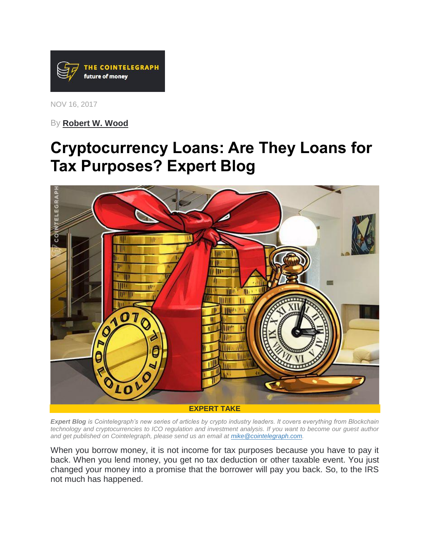

NOV 16, 2017

By **[Robert W. Wood](https://cointelegraph.com/news/irs-hunt-for-cryptocurrency-isnt-going-away-expert-blog)**

# **Cryptocurrency Loans: Are They Loans for Tax Purposes? Expert Blog**



*Expert Blog is Cointelegraph's new series of articles by crypto industry leaders. It covers everything from Blockchain technology and cryptocurrencies to ICO regulation and investment analysis. If you want to become our guest author and get published on Cointelegraph, please send us an email at [mike@cointelegraph.com.](mailto:mike@cointelegraph.com)*

When you borrow money, it is not income for tax purposes because you have to pay it back. When you lend money, you get no tax deduction or other taxable event. You just changed your money into a promise that the borrower will pay you back. So, to the IRS not much has happened.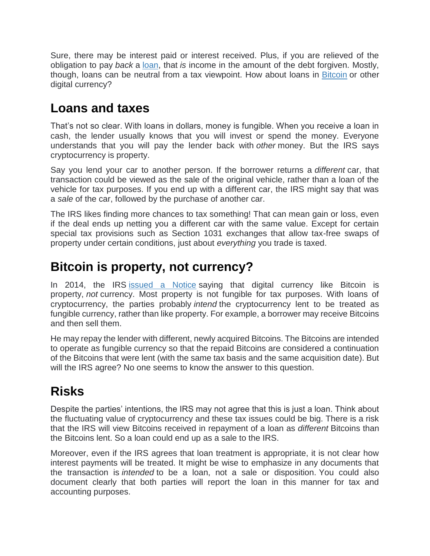Sure, there may be interest paid or interest received. Plus, if you are relieved of the obligation to pay *back* a [loan,](https://cointelegraph.com/tags/loans) that *is* income in the amount of the debt forgiven. Mostly, though, loans can be neutral from a tax viewpoint. How about loans in [Bitcoin](https://cointelegraph.com/tags/bitcoin) or other digital currency?

#### **Loans and taxes**

That's not so clear. With loans in dollars, money is fungible. When you receive a loan in cash, the lender usually knows that you will invest or spend the money. Everyone understands that you will pay the lender back with *other* money. But the IRS says cryptocurrency is property.

Say you lend your car to another person. If the borrower returns a *different* car, that transaction could be viewed as the sale of the original vehicle, rather than a loan of the vehicle for tax purposes. If you end up with a different car, the IRS might say that was a *sale* of the car, followed by the purchase of another car.

The IRS likes finding more chances to tax something! That can mean gain or loss, even if the deal ends up netting you a different car with the same value. Except for certain special tax provisions such as Section 1031 exchanges that allow tax-free swaps of property under certain conditions, just about *everything* you trade is taxed.

### **Bitcoin is property, not currency?**

In 2014, the IRS [issued a Notice](https://www.irs.gov/pub/irs-drop/n-14-21.pdf) saying that digital currency like Bitcoin is property, *not* currency. Most property is not fungible for tax purposes. With loans of cryptocurrency, the parties probably *intend* the cryptocurrency lent to be treated as fungible currency, rather than like property. For example, a borrower may receive Bitcoins and then sell them.

He may repay the lender with different, newly acquired Bitcoins. The Bitcoins are intended to operate as fungible currency so that the repaid Bitcoins are considered a continuation of the Bitcoins that were lent (with the same tax basis and the same acquisition date). But will the IRS agree? No one seems to know the answer to this question.

### **Risks**

Despite the parties' intentions, the IRS may not agree that this is just a loan. Think about the fluctuating value of cryptocurrency and these tax issues could be big. There is a risk that the IRS will view Bitcoins received in repayment of a loan as *different* Bitcoins than the Bitcoins lent. So a loan could end up as a sale to the IRS.

Moreover, even if the IRS agrees that loan treatment is appropriate, it is not clear how interest payments will be treated. It might be wise to emphasize in any documents that the transaction is *intended* to be a loan, not a sale or disposition. You could also document clearly that both parties will report the loan in this manner for tax and accounting purposes.